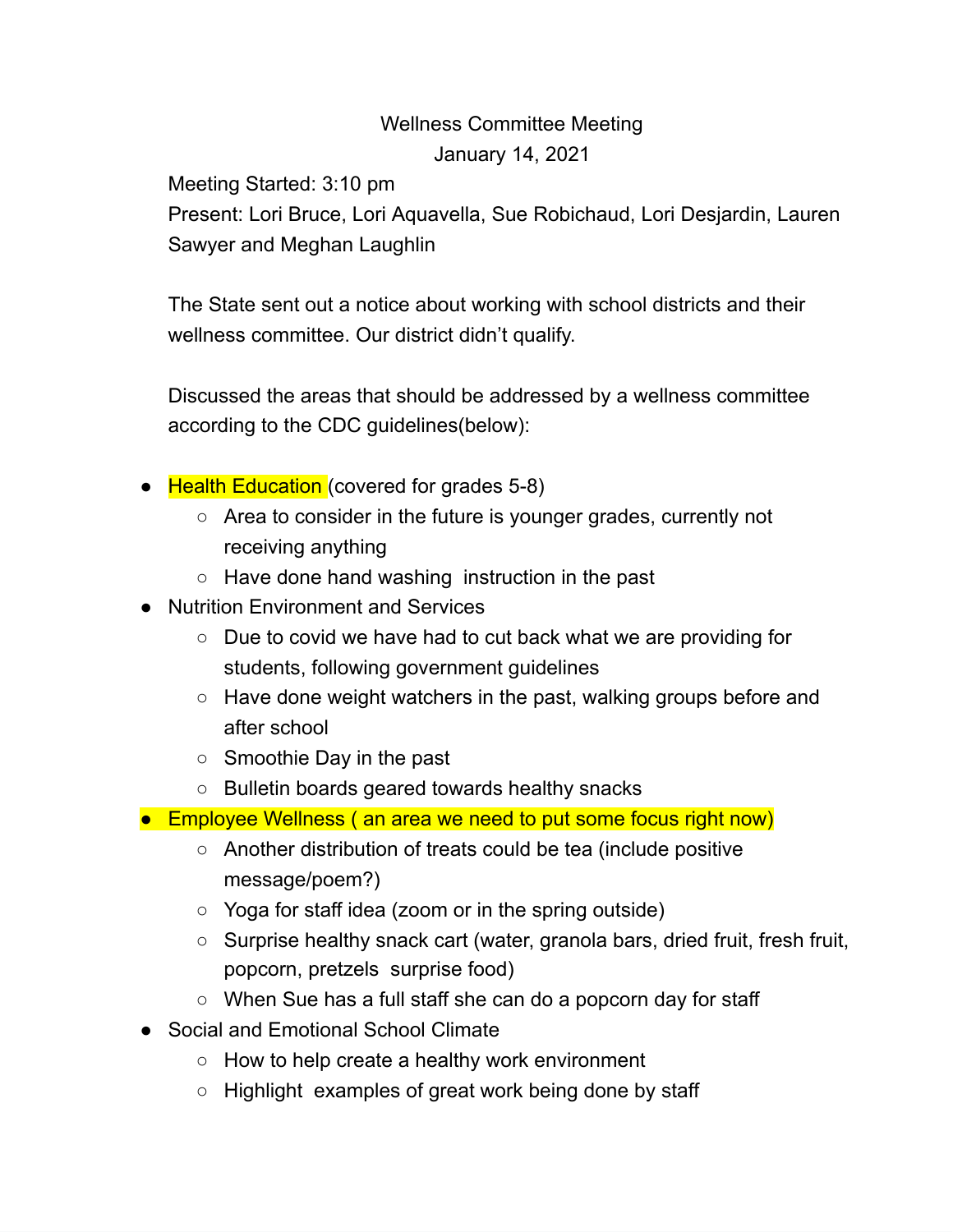## Wellness Committee Meeting January 14, 2021

Meeting Started: 3:10 pm

Present: Lori Bruce, Lori Aquavella, Sue Robichaud, Lori Desjardin, Lauren Sawyer and Meghan Laughlin

The State sent out a notice about working with school districts and their wellness committee. Our district didn't qualify.

Discussed the areas that should be addressed by a wellness committee according to the CDC guidelines(below):

- Health Education (covered for grades 5-8)
	- Area to consider in the future is younger grades, currently not receiving anything
	- Have done hand washing instruction in the past
- Nutrition Environment and Services
	- Due to covid we have had to cut back what we are providing for students, following government guidelines
	- Have done weight watchers in the past, walking groups before and after school
	- Smoothie Day in the past
	- Bulletin boards geared towards healthy snacks
- Employee Wellness (an area we need to put some focus right now)
	- Another distribution of treats could be tea (include positive message/poem?)
	- Yoga for staff idea (zoom or in the spring outside)
	- Surprise healthy snack cart (water, granola bars, dried fruit, fresh fruit, popcorn, pretzels surprise food)
	- When Sue has a full staff she can do a popcorn day for staff
- Social and Emotional School Climate
	- How to help create a healthy work environment
	- Highlight examples of great work being done by staff